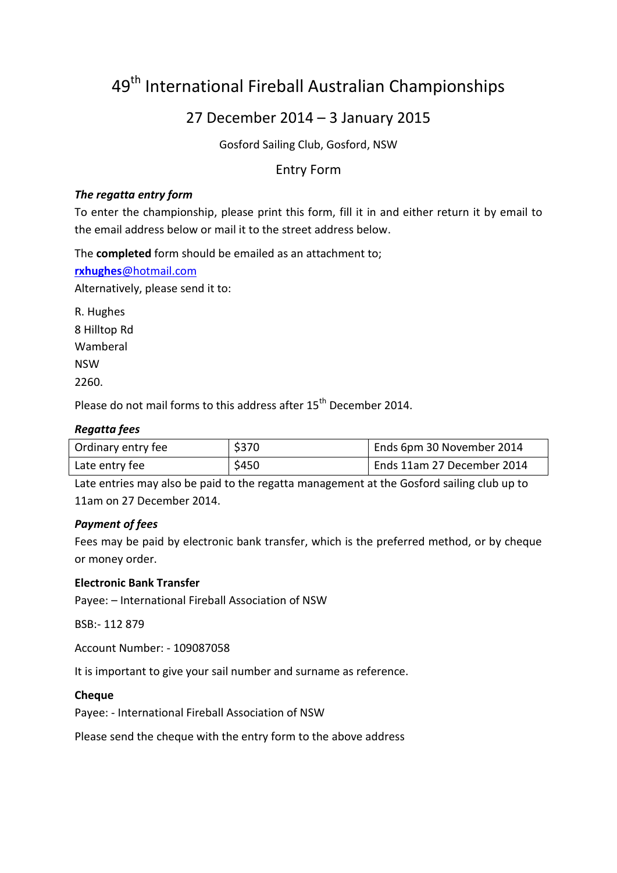# 49<sup>th</sup> International Fireball Australian Championships

# 27 December 2014 – 3 January 2015

Gosford Sailing Club, Gosford, NSW

# Entry Form

### *The regatta entry form*

To enter the championship, please print this form, fill it in and either return it by email to the email address below or mail it to the street address below.

The **completed** form should be emailed as an attachment to;

**rxhughes**[@hotmail.com](mailto:rxhughes@hotmail.com)

Alternatively, please send it to:

R. Hughes 8 Hilltop Rd Wamberal NSW 2260.

Please do not mail forms to this address after 15<sup>th</sup> December 2014.

# *Regatta fees*

| Ordinary entry fee | \$370 | Ends 6pm 30 November 2014  |
|--------------------|-------|----------------------------|
| Late entry fee     | \$450 | Ends 11am 27 December 2014 |

Late entries may also be paid to the regatta management at the Gosford sailing club up to 11am on 27 December 2014.

## *Payment of fees*

Fees may be paid by electronic bank transfer, which is the preferred method, or by cheque or money order.

#### **Electronic Bank Transfer**

Payee: – International Fireball Association of NSW

BSB:- 112 879

Account Number: - 109087058

It is important to give your sail number and surname as reference.

#### **Cheque**

Payee: - International Fireball Association of NSW

Please send the cheque with the entry form to the above address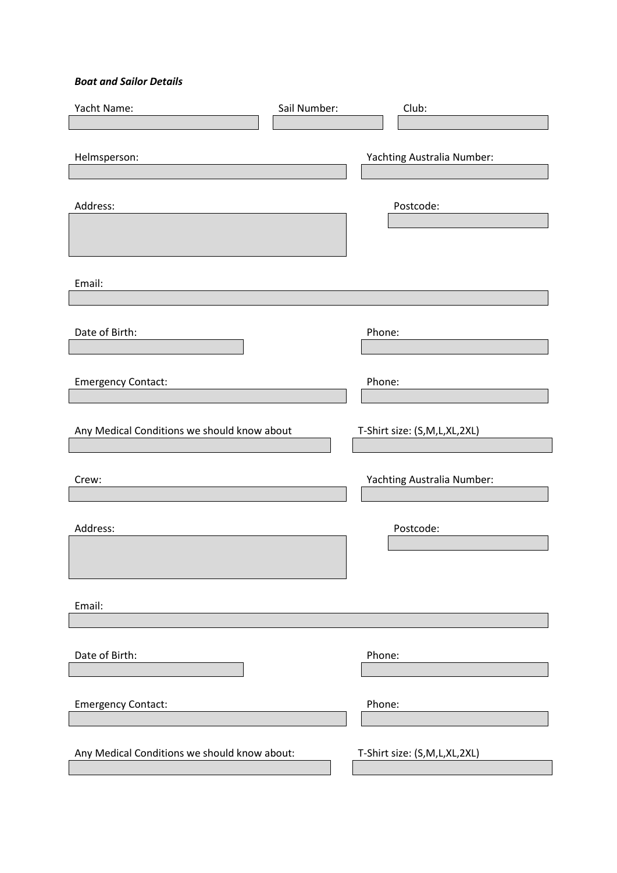#### *Boat and Sailor Details*

| Yacht Name:                                  | Sail Number: | Club:                        |
|----------------------------------------------|--------------|------------------------------|
|                                              |              |                              |
| Helmsperson:                                 |              | Yachting Australia Number:   |
| Address:                                     |              | Postcode:                    |
| Email:                                       |              |                              |
| Date of Birth:                               |              | Phone:                       |
| <b>Emergency Contact:</b>                    |              | Phone:                       |
| Any Medical Conditions we should know about  |              | T-Shirt size: (S,M,L,XL,2XL) |
| Crew:                                        |              | Yachting Australia Number:   |
| Address:                                     |              | Postcode:                    |
| Email:                                       |              |                              |
| Date of Birth:                               |              | Phone:                       |
| <b>Emergency Contact:</b>                    |              | Phone:                       |
| Any Medical Conditions we should know about: |              | T-Shirt size: (S,M,L,XL,2XL) |